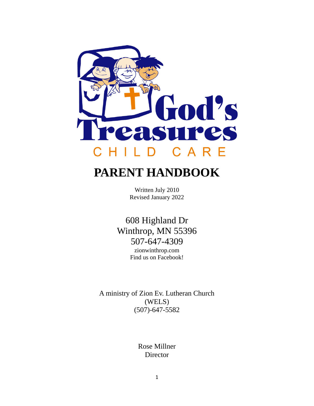

# **PARENT HANDBOOK**

Written July 2010 Revised January 2022

608 Highland Dr Winthrop, MN 55396 507-647-4309 zionwinthrop.com Find us on Facebook!

A ministry of Zion Ev. Lutheran Church (WELS) (507)-647-5582

> Rose Millner Director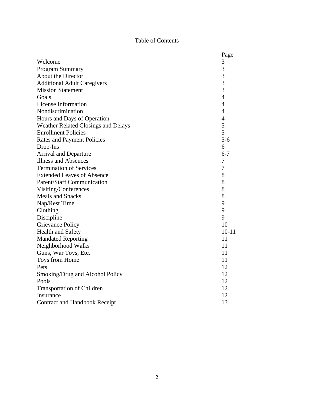# Table of Contents

|                                            | Page           |  |  |
|--------------------------------------------|----------------|--|--|
| Welcome                                    | 3              |  |  |
| <b>Program Summary</b>                     | 3              |  |  |
| About the Director                         | 3              |  |  |
| <b>Additional Adult Caregivers</b>         | $\overline{3}$ |  |  |
| <b>Mission Statement</b>                   | $\overline{3}$ |  |  |
| Goals                                      | $\overline{4}$ |  |  |
| License Information                        | $\overline{4}$ |  |  |
| Nondiscrimination                          | $\overline{4}$ |  |  |
| Hours and Days of Operation                | $\overline{4}$ |  |  |
| <b>Weather Related Closings and Delays</b> | 5              |  |  |
| <b>Enrollment Policies</b>                 | 5              |  |  |
| <b>Rates and Payment Policies</b>          | $5 - 6$        |  |  |
| Drop-Ins                                   | 6              |  |  |
| <b>Arrival and Departure</b>               | $6 - 7$        |  |  |
| <b>Illness and Absences</b>                | 7              |  |  |
| <b>Termination of Services</b>             | 7              |  |  |
| <b>Extended Leaves of Absence</b>          | 8              |  |  |
| Parent/Staff Communication                 | 8              |  |  |
| Visiting/Conferences                       | 8              |  |  |
| <b>Meals and Snacks</b>                    | 8              |  |  |
| Nap/Rest Time                              | 9              |  |  |
| Clothing                                   | 9              |  |  |
| Discipline                                 | 9              |  |  |
| <b>Grievance Policy</b>                    | 10             |  |  |
| <b>Health and Safety</b>                   | $10 - 11$      |  |  |
| <b>Mandated Reporting</b>                  | 11             |  |  |
| Neighborhood Walks                         | 11             |  |  |
| Guns, War Toys, Etc.                       | 11             |  |  |
| Toys from Home                             | 11             |  |  |
| Pets                                       | 12             |  |  |
| Smoking/Drug and Alcohol Policy            | 12             |  |  |
| Pools                                      | 12             |  |  |
| <b>Transportation of Children</b>          | 12             |  |  |
| Insurance                                  |                |  |  |
| Contract and Handbook Receipt              |                |  |  |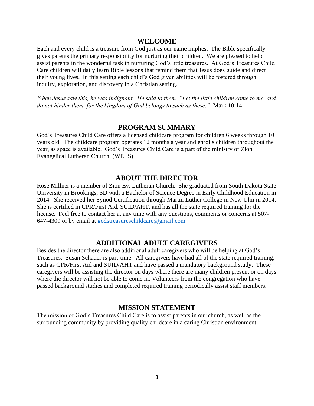#### **WELCOME**

Each and every child is a treasure from God just as our name implies. The Bible specifically gives parents the primary responsibility for nurturing their children. We are pleased to help assist parents in the wonderful task in nurturing God's little treasures. At God's Treasures Child Care children will daily learn Bible lessons that remind them that Jesus does guide and direct their young lives. In this setting each child's God given abilities will be fostered through inquiry, exploration, and discovery in a Christian setting.

*When Jesus saw this, he was indignant. He said to them, "Let the little children come to me, and do not hinder them, for the kingdom of God belongs to such as these."* Mark 10:14

### **PROGRAM SUMMARY**

God's Treasures Child Care offers a licensed childcare program for children 6 weeks through 10 years old. The childcare program operates 12 months a year and enrolls children throughout the year, as space is available. God's Treasures Child Care is a part of the ministry of Zion Evangelical Lutheran Church, (WELS).

### **ABOUT THE DIRECTOR**

Rose Millner is a member of Zion Ev. Lutheran Church. She graduated from South Dakota State University in Brookings, SD with a Bachelor of Science Degree in Early Childhood Education in 2014. She received her Synod Certification through Martin Luther College in New Ulm in 2014. She is certified in CPR/First Aid, SUID/AHT, and has all the state required training for the license. Feel free to contact her at any time with any questions, comments or concerns at 507- 647-4309 or by email at [godstreasureschildcare@gmail.com](mailto:godstreasureschildcare@gmail.com)

### **ADDITIONAL ADULT CAREGIVERS**

Besides the director there are also additional adult caregivers who will be helping at God's Treasures. Susan Schauer is part-time. All caregivers have had all of the state required training, such as CPR/First Aid and SUID/AHT and have passed a mandatory background study. These caregivers will be assisting the director on days where there are many children present or on days where the director will not be able to come in. Volunteers from the congregation who have passed background studies and completed required training periodically assist staff members.

#### **MISSION STATEMENT**

The mission of God's Treasures Child Care is to assist parents in our church, as well as the surrounding community by providing quality childcare in a caring Christian environment.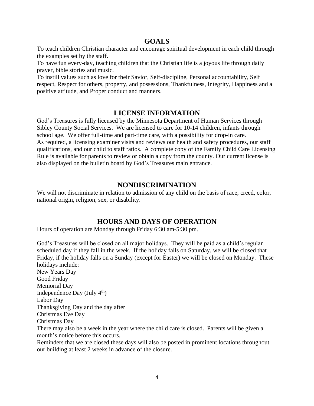# **GOALS**

To teach children Christian character and encourage spiritual development in each child through the examples set by the staff.

To have fun every-day, teaching children that the Christian life is a joyous life through daily prayer, bible stories and music.

To instill values such as love for their Savior, Self-discipline, Personal accountability, Self respect, Respect for others, property, and possessions, Thankfulness, Integrity, Happiness and a positive attitude, and Proper conduct and manners.

# **LICENSE INFORMATION**

God's Treasures is fully licensed by the Minnesota Department of Human Services through Sibley County Social Services. We are licensed to care for 10-14 children, infants through school age. We offer full-time and part-time care, with a possibility for drop-in care. As required, a licensing examiner visits and reviews our health and safety procedures, our staff qualifications, and our child to staff ratios. A complete copy of the Family Child Care Licensing Rule is available for parents to review or obtain a copy from the county. Our current license is also displayed on the bulletin board by God's Treasures main entrance.

# **NONDISCRIMINATION**

We will not discriminate in relation to admission of any child on the basis of race, creed, color, national origin, religion, sex, or disability.

# **HOURS AND DAYS OF OPERATION**

Hours of operation are Monday through Friday 6:30 am-5:30 pm.

God's Treasures will be closed on all major holidays. They will be paid as a child's regular scheduled day if they fall in the week. If the holiday falls on Saturday, we will be closed that Friday, if the holiday falls on a Sunday (except for Easter) we will be closed on Monday. These holidays include: New Years Day Good Friday Memorial Day Independence Day (July  $4<sup>th</sup>$ ) Labor Day Thanksgiving Day and the day after Christmas Eve Day Christmas Day There may also be a week in the year where the child care is closed. Parents will be given a month's notice before this occurs. Reminders that we are closed these days will also be posted in prominent locations throughout our building at least 2 weeks in advance of the closure.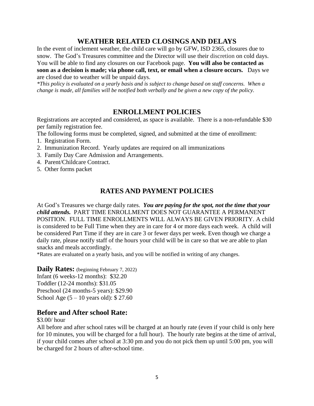# **WEATHER RELATED CLOSINGS AND DELAYS**

In the event of inclement weather, the child care will go by GFW, ISD 2365, closures due to snow. The God's Treasures committee and the Director will use their discretion on cold days. You will be able to find any closures on our Facebook page. **You will also be contacted as soon as a decision is made; via phone call, text, or email when a closure occurs.** Days we are closed due to weather will be unpaid days.

*\*This policy is evaluated on a yearly basis and is subject to change based on staff concerns. When a change is made, all families will be notified both verbally and be given a new copy of the policy.*

# **ENROLLMENT POLICIES**

Registrations are accepted and considered, as space is available. There is a non-refundable \$30 per family registration fee.

The following forms must be completed, signed, and submitted at the time of enrollment:

- 1. Registration Form.
- 2. Immunization Record. Yearly updates are required on all immunizations
- 3. Family Day Care Admission and Arrangements.
- 4. Parent/Childcare Contract.
- 5. Other forms packet

# **RATES AND PAYMENT POLICIES**

At God's Treasures we charge daily rates. *You are paying for the spot, not the time that your child attends.* PART TIME ENROLLMENT DOES NOT GUARANTEE A PERMANENT POSITION. FULL TIME ENROLLMENTS WILL ALWAYS BE GIVEN PRIORITY. A child is considered to be Full Time when they are in care for 4 or more days each week. A child will be considered Part Time if they are in care 3 or fewer days per week. Even though we charge a daily rate, please notify staff of the hours your child will be in care so that we are able to plan snacks and meals accordingly.

\*Rates are evaluated on a yearly basis, and you will be notified in writing of any changes.

**Daily Rates:** (beginning February 7, 2022)

Infant (6 weeks-12 months): \$32.20 Toddler (12-24 months): \$31.05 Preschool (24 months-5 years): \$29.90 School Age (5 – 10 years old): \$ 27.60

# **Before and After school Rate:**

\$3.00/ hour

All before and after school rates will be charged at an hourly rate (even if your child is only here for 10 minutes, you will be charged for a full hour). The hourly rate begins at the time of arrival, if your child comes after school at 3:30 pm and you do not pick them up until 5:00 pm, you will be charged for 2 hours of after-school time.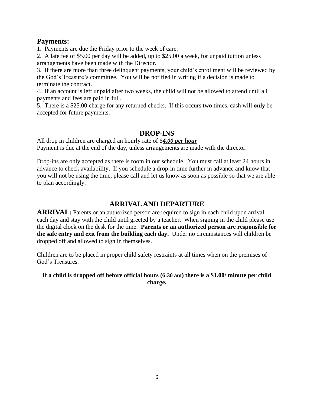# **Payments:**

1. Payments are due the Friday prior to the week of care.

2. A late fee of \$5.00 per day will be added, up to \$25.00 a week, for unpaid tuition unless arrangements have been made with the Director.

3. If there are more than three delinquent payments, your child's enrollment will be reviewed by the God's Treasure's committee. You will be notified in writing if a decision is made to terminate the contract.

4. If an account is left unpaid after two weeks, the child will not be allowed to attend until all payments and fees are paid in full.

5. There is a \$25.00 charge for any returned checks. If this occurs two times, cash will **only** be accepted for future payments.

# **DROP-INS**

All drop in children are charged an hourly rate of \$*4.00 per hour* Payment is due at the end of the day, unless arrangements are made with the director.

Drop-ins are only accepted as there is room in our schedule. You must call at least 24 hours in advance to check availability. If you schedule a drop-in time further in advance and know that you will not be using the time, please call and let us know as soon as possible so that we are able to plan accordingly.

# **ARRIVAL AND DEPARTURE**

**ARRIVAL**: Parents or an authorized person are required to sign in each child upon arrival each day and stay with the child until greeted by a teacher. When signing in the child please use the digital clock on the desk for the time. **Parents or an authorized person are responsible for the safe entry and exit from the building each day.** Under no circumstances will children be dropped off and allowed to sign in themselves.

Children are to be placed in proper child safety restraints at all times when on the premises of God's Treasures.

### **If a child is dropped off before official hours (6:30 am) there is a \$1.00/ minute per child charge.**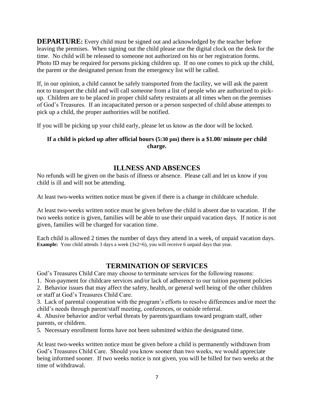**DEPARTURE:** Every child must be signed out and acknowledged by the teacher before leaving the premises. When signing out the child please use the digital clock on the desk for the time. No child will be released to someone not authorized on his or her registration forms. Photo ID may be required for persons picking children up. If no one comes to pick up the child, the parent or the designated person from the emergency list will be called.

If, in our opinion, a child cannot be safely transported from the facility, we will ask the parent not to transport the child and will call someone from a list of people who are authorized to pickup. Children are to be placed in proper child safety restraints at all times when on the premises of God's Treasures. If an incapacitated person or a person suspected of child abuse attempts to pick up a child, the proper authorities will be notified.

If you will be picking up your child early, please let us know as the door will be locked.

### **If a child is picked up after official hours (5:30 pm) there is a \$1.00/ minute per child charge.**

# **ILLNESS AND ABSENCES**

No refunds will be given on the basis of illness or absence. Please call and let us know if you child is ill and will not be attending.

At least two-weeks written notice must be given if there is a change in childcare schedule.

At least two-weeks written notice must be given before the child is absent due to vacation. If the two weeks notice is given, families will be able to use their unpaid vacation days. If notice is not given, families will be charged for vacation time.

Each child is allowed 2 times the number of days they attend in a week, of unpaid vacation days. **Example:** Your child attends 3 days a week (3x2=6), you will receive 6 unpaid days that year.

# **TERMINATION OF SERVICES**

God's Treasures Child Care may choose to terminate services for the following reasons:

1. Non-payment for childcare services and/or lack of adherence to our tuition payment policies

2. Behavior issues that may affect the safety, health, or general well being of the other children or staff at God's Treasures Child Care.

3. Lack of parental cooperation with the program's efforts to resolve differences and/or meet the child's needs through parent/staff meeting, conferences, or outside referral.

4. Abusive behavior and/or verbal threats by parents/guardians toward program staff, other parents, or children.

5. Necessary enrollment forms have not been submitted within the designated time.

At least two-weeks written notice must be given before a child is permanently withdrawn from God's Treasures Child Care. Should you know sooner than two weeks, we would appreciate being informed sooner. If two weeks notice is not given, you will be billed for two weeks at the time of withdrawal.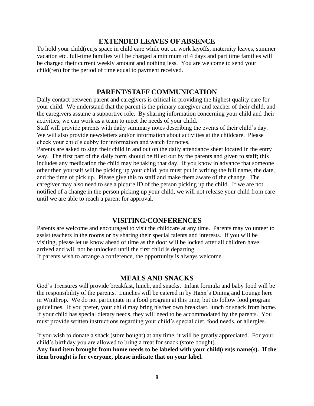### **EXTENDED LEAVES OF ABSENCE**

To hold your child(ren)s space in child care while out on work layoffs, maternity leaves, summer vacation etc. full-time families will be charged a minimum of 4 days and part time families will be charged their current weekly amount and nothing less. You are welcome to send your child(ren) for the period of time equal to payment received.

### **PARENT/STAFF COMMUNICATION**

Daily contact between parent and caregivers is critical in providing the highest quality care for your child. We understand that the parent is the primary caregiver and teacher of their child, and the caregivers assume a supportive role. By sharing information concerning your child and their activities, we can work as a team to meet the needs of your child.

Staff will provide parents with daily summary notes describing the events of their child's day. We will also provide newsletters and/or information about activities at the childcare. Please check your child's cubby for information and watch for notes.

Parents are asked to sign their child in and out on the daily attendance sheet located in the entry way. The first part of the daily form should be filled out by the parents and given to staff; this includes any medication the child may be taking that day. If you know in advance that someone other then yourself will be picking up your child, you must put in writing the full name, the date, and the time of pick up. Please give this to staff and make them aware of the change. The caregiver may also need to see a picture ID of the person picking up the child. If we are not notified of a change in the person picking up your child, we will not release your child from care until we are able to reach a parent for approval.

### **VISITING/CONFERENCES**

Parents are welcome and encouraged to visit the childcare at any time. Parents may volunteer to assist teachers in the rooms or by sharing their special talents and interests. If you will be visiting, please let us know ahead of time as the door will be locked after all children have arrived and will not be unlocked until the first child is departing. If parents wish to arrange a conference, the opportunity is always welcome.

#### **MEALS AND SNACKS**

God's Treasures will provide breakfast, lunch, and snacks. Infant formula and baby food will be the responsibility of the parents. Lunches will be catered in by Hahn's Dining and Lounge here in Winthrop. We do not participate in a food program at this time, but do follow food program guidelines. If you prefer, your child may bring his/her own breakfast, lunch or snack from home. If your child has special dietary needs, they will need to be accommodated by the parents. You must provide written instructions regarding your child's special diet, food needs, or allergies.

If you wish to donate a snack (store bought) at any time, it will be greatly appreciated. For your child's birthday you are allowed to bring a treat for snack (store bought).

**Any food item brought from home needs to be labeled with your child(ren)s name(s). If the item brought is for everyone, please indicate that on your label.**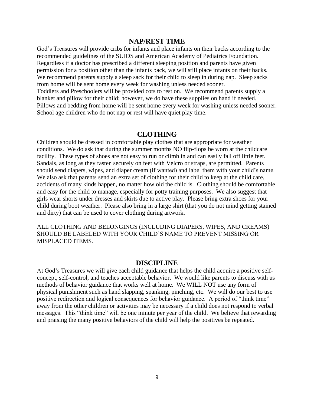#### **NAP/REST TIME**

God's Treasures will provide cribs for infants and place infants on their backs according to the recommended guidelines of the SUIDS and American Academy of Pediatrics Foundation. Regardless if a doctor has prescribed a different sleeping position and parents have given permission for a position other than the infants back, we will still place infants on their backs. We recommend parents supply a sleep sack for their child to sleep in during nap. Sleep sacks from home will be sent home every week for washing unless needed sooner. Toddlers and Preschoolers will be provided cots to rest on. We recommend parents supply a blanket and pillow for their child; however, we do have these supplies on hand if needed. Pillows and bedding from home will be sent home every week for washing unless needed sooner. School age children who do not nap or rest will have quiet play time.

#### **CLOTHING**

Children should be dressed in comfortable play clothes that are appropriate for weather conditions. We do ask that during the summer months NO flip-flops be worn at the childcare facility. These types of shoes are not easy to run or climb in and can easily fall off little feet. Sandals, as long as they fasten securely on feet with Velcro or straps, are permitted. Parents should send diapers, wipes, and diaper cream (if wanted) and label them with your child's name. We also ask that parents send an extra set of clothing for their child to keep at the child care, accidents of many kinds happen, no matter how old the child is. Clothing should be comfortable and easy for the child to manage, especially for potty training purposes. We also suggest that girls wear shorts under dresses and skirts due to active play. Please bring extra shoes for your child during boot weather. Please also bring in a large shirt (that you do not mind getting stained and dirty) that can be used to cover clothing during artwork.

ALL CLOTHING AND BELONGINGS (INCLUDING DIAPERS, WIPES, AND CREAMS) SHOULD BE LABELED WITH YOUR CHILD'S NAME TO PREVENT MISSING OR MISPLACED ITEMS.

### **DISCIPLINE**

At God's Treasures we will give each child guidance that helps the child acquire a positive selfconcept, self-control, and teaches acceptable behavior. We would like parents to discuss with us methods of behavior guidance that works well at home. We WILL NOT use any form of physical punishment such as hand slapping, spanking, pinching, etc. We will do our best to use positive redirection and logical consequences for behavior guidance. A period of "think time" away from the other children or activities may be necessary if a child does not respond to verbal messages. This "think time" will be one minute per year of the child. We believe that rewarding and praising the many positive behaviors of the child will help the positives be repeated.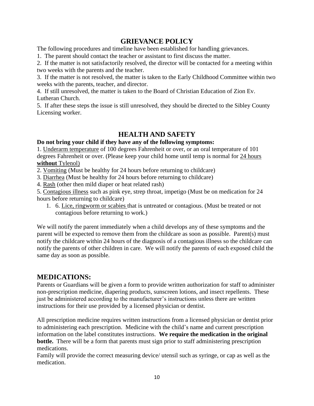# **GRIEVANCE POLICY**

The following procedures and timeline have been established for handling grievances.

1. The parent should contact the teacher or assistant to first discuss the matter.

2. If the matter is not satisfactorily resolved, the director will be contacted for a meeting within two weeks with the parents and the teacher.

3. If the matter is not resolved, the matter is taken to the Early Childhood Committee within two weeks with the parents, teacher, and director.

4. If still unresolved, the matter is taken to the Board of Christian Education of Zion Ev. Lutheran Church.

5. If after these steps the issue is still unresolved, they should be directed to the Sibley County Licensing worker.

# **HEALTH AND SAFETY**

### **Do not bring your child if they have any of the following symptoms:**

1. Underarm temperature of 100 degrees Fahrenheit or over, or an oral temperature of 101 degrees Fahrenheit or over. (Please keep your child home until temp is normal for 24 hours **without** Tylenol)

2. Vomiting (Must be healthy for 24 hours before returning to childcare)

3. Diarrhea (Must be healthy for 24 hours before returning to childcare)

4. Rash (other then mild diaper or heat related rash)

5. Contagious illness such as pink eye, strep throat, impetigo (Must be on medication for 24 hours before returning to childcare)

1. 6. Lice, ringworm or scabies that is untreated or contagious. (Must be treated or not contagious before returning to work.)

We will notify the parent immediately when a child develops any of these symptoms and the parent will be expected to remove them from the childcare as soon as possible. Parent(s) must notify the childcare within 24 hours of the diagnosis of a contagious illness so the childcare can notify the parents of other children in care. We will notify the parents of each exposed child the same day as soon as possible.

# **MEDICATIONS:**

Parents or Guardians will be given a form to provide written authorization for staff to administer non-prescription medicine, diapering products, sunscreen lotions, and insect repellents. These just be administered according to the manufacturer's instructions unless there are written instructions for their use provided by a licensed physician or dentist.

All prescription medicine requires written instructions from a licensed physician or dentist prior to administering each prescription. Medicine with the child's name and current prescription information on the label constitutes instructions. **We require the medication in the original bottle.** There will be a form that parents must sign prior to staff administering prescription medications.

Family will provide the correct measuring device/ utensil such as syringe, or cap as well as the medication.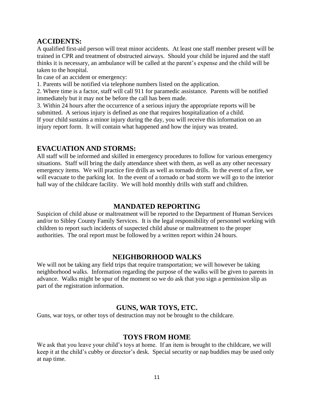# **ACCIDENTS:**

A qualified first-aid person will treat minor accidents. At least one staff member present will be trained in CPR and treatment of obstructed airways. Should your child be injured and the staff thinks it is necessary, an ambulance will be called at the parent's expense and the child will be taken to the hospital.

In case of an accident or emergency:

1. Parents will be notified via telephone numbers listed on the application.

2. Where time is a factor, staff will call 911 for paramedic assistance. Parents will be notified immediately but it may not be before the call has been made.

3. Within 24 hours after the occurrence of a serious injury the appropriate reports will be submitted. A serious injury is defined as one that requires hospitalization of a child. If your child sustains a minor injury during the day, you will receive this information on an injury report form. It will contain what happened and how the injury was treated.

# **EVACUATION AND STORMS:**

All staff will be informed and skilled in emergency procedures to follow for various emergency situations. Staff will bring the daily attendance sheet with them, as well as any other necessary emergency items. We will practice fire drills as well as tornado drills. In the event of a fire, we will evacuate to the parking lot. In the event of a tornado or bad storm we will go to the interior hall way of the childcare facility. We will hold monthly drills with staff and children.

# **MANDATED REPORTING**

Suspicion of child abuse or maltreatment will be reported to the Department of Human Services and/or to Sibley County Family Services. It is the legal responsibility of personnel working with children to report such incidents of suspected child abuse or maltreatment to the proper authorities. The oral report must be followed by a written report within 24 hours.

### **NEIGHBORHOOD WALKS**

We will not be taking any field trips that require transportation; we will however be taking neighborhood walks. Information regarding the purpose of the walks will be given to parents in advance. Walks might be spur of the moment so we do ask that you sign a permission slip as part of the registration information.

# **GUNS, WAR TOYS, ETC.**

Guns, war toys, or other toys of destruction may not be brought to the childcare.

### **TOYS FROM HOME**

We ask that you leave your child's toys at home. If an item is brought to the childcare, we will keep it at the child's cubby or director's desk. Special security or nap buddies may be used only at nap time.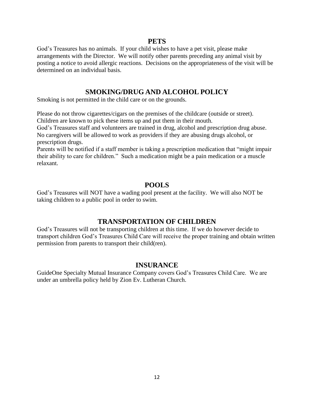### **PETS**

God's Treasures has no animals. If your child wishes to have a pet visit, please make arrangements with the Director. We will notify other parents preceding any animal visit by posting a notice to avoid allergic reactions. Decisions on the appropriateness of the visit will be determined on an individual basis.

### **SMOKING/DRUG AND ALCOHOL POLICY**

Smoking is not permitted in the child care or on the grounds.

Please do not throw cigarettes/cigars on the premises of the childcare (outside or street). Children are known to pick these items up and put them in their mouth.

God's Treasures staff and volunteers are trained in drug, alcohol and prescription drug abuse. No caregivers will be allowed to work as providers if they are abusing drugs alcohol, or prescription drugs.

Parents will be notified if a staff member is taking a prescription medication that "might impair their ability to care for children." Such a medication might be a pain medication or a muscle relaxant.

# **POOLS**

God's Treasures will NOT have a wading pool present at the facility. We will also NOT be taking children to a public pool in order to swim.

# **TRANSPORTATION OF CHILDREN**

God's Treasures will not be transporting children at this time. If we do however decide to transport children God's Treasures Child Care will receive the proper training and obtain written permission from parents to transport their child(ren).

### **INSURANCE**

GuideOne Specialty Mutual Insurance Company covers God's Treasures Child Care. We are under an umbrella policy held by Zion Ev. Lutheran Church.